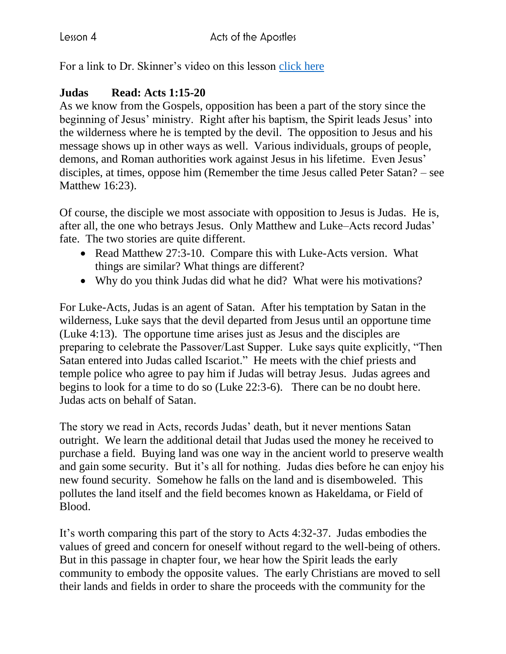For a link to Dr. Skinner's video on this lesson [click here](https://my.amplifymedia.com/amplify/series/unitedmethodistpublishinghouse/30870-acts?fbclid=IwAR3ywGl_HyjOrXPLm8tDJBlnJFFMu-UlPSUogvcW6GrNOJ660HmK3nUMN-U)

## **Judas Read: Acts 1:15-20**

As we know from the Gospels, opposition has been a part of the story since the beginning of Jesus' ministry. Right after his baptism, the Spirit leads Jesus' into the wilderness where he is tempted by the devil. The opposition to Jesus and his message shows up in other ways as well. Various individuals, groups of people, demons, and Roman authorities work against Jesus in his lifetime. Even Jesus' disciples, at times, oppose him (Remember the time Jesus called Peter Satan? – see Matthew 16:23).

Of course, the disciple we most associate with opposition to Jesus is Judas. He is, after all, the one who betrays Jesus. Only Matthew and Luke–Acts record Judas' fate. The two stories are quite different.

- Read Matthew 27:3-10. Compare this with Luke-Acts version. What things are similar? What things are different?
- Why do you think Judas did what he did? What were his motivations?

For Luke-Acts, Judas is an agent of Satan. After his temptation by Satan in the wilderness, Luke says that the devil departed from Jesus until an opportune time (Luke 4:13). The opportune time arises just as Jesus and the disciples are preparing to celebrate the Passover/Last Supper. Luke says quite explicitly, "Then Satan entered into Judas called Iscariot." He meets with the chief priests and temple police who agree to pay him if Judas will betray Jesus. Judas agrees and begins to look for a time to do so (Luke 22:3-6). There can be no doubt here. Judas acts on behalf of Satan.

The story we read in Acts, records Judas' death, but it never mentions Satan outright. We learn the additional detail that Judas used the money he received to purchase a field. Buying land was one way in the ancient world to preserve wealth and gain some security. But it's all for nothing. Judas dies before he can enjoy his new found security. Somehow he falls on the land and is disemboweled. This pollutes the land itself and the field becomes known as Hakeldama, or Field of Blood.

It's worth comparing this part of the story to Acts 4:32-37. Judas embodies the values of greed and concern for oneself without regard to the well-being of others. But in this passage in chapter four, we hear how the Spirit leads the early community to embody the opposite values. The early Christians are moved to sell their lands and fields in order to share the proceeds with the community for the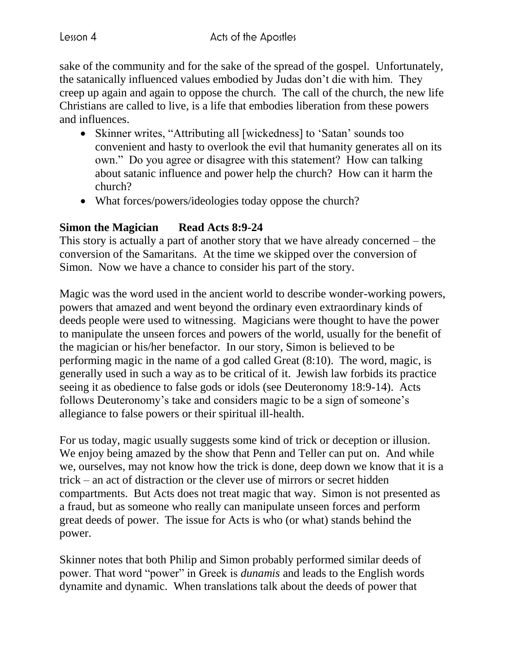sake of the community and for the sake of the spread of the gospel. Unfortunately, the satanically influenced values embodied by Judas don't die with him. They creep up again and again to oppose the church. The call of the church, the new life Christians are called to live, is a life that embodies liberation from these powers and influences.

- Skinner writes, "Attributing all [wickedness] to 'Satan' sounds too convenient and hasty to overlook the evil that humanity generates all on its own." Do you agree or disagree with this statement? How can talking about satanic influence and power help the church? How can it harm the church?
- What forces/powers/ideologies today oppose the church?

## **Simon the Magician Read Acts 8:9-24**

This story is actually a part of another story that we have already concerned – the conversion of the Samaritans. At the time we skipped over the conversion of Simon. Now we have a chance to consider his part of the story.

Magic was the word used in the ancient world to describe wonder-working powers, powers that amazed and went beyond the ordinary even extraordinary kinds of deeds people were used to witnessing. Magicians were thought to have the power to manipulate the unseen forces and powers of the world, usually for the benefit of the magician or his/her benefactor. In our story, Simon is believed to be performing magic in the name of a god called Great (8:10). The word, magic, is generally used in such a way as to be critical of it. Jewish law forbids its practice seeing it as obedience to false gods or idols (see Deuteronomy 18:9-14). Acts follows Deuteronomy's take and considers magic to be a sign of someone's allegiance to false powers or their spiritual ill-health.

For us today, magic usually suggests some kind of trick or deception or illusion. We enjoy being amazed by the show that Penn and Teller can put on. And while we, ourselves, may not know how the trick is done, deep down we know that it is a trick – an act of distraction or the clever use of mirrors or secret hidden compartments. But Acts does not treat magic that way. Simon is not presented as a fraud, but as someone who really can manipulate unseen forces and perform great deeds of power. The issue for Acts is who (or what) stands behind the power.

Skinner notes that both Philip and Simon probably performed similar deeds of power. That word "power" in Greek is *dunamis* and leads to the English words dynamite and dynamic. When translations talk about the deeds of power that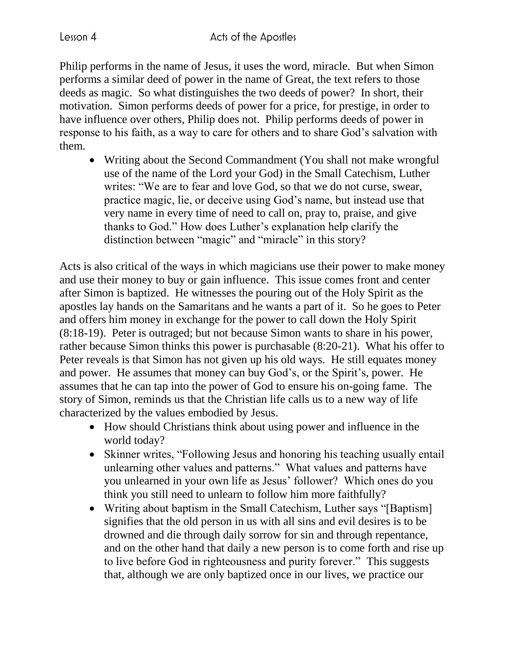Philip performs in the name of Jesus, it uses the word, miracle. But when Simon performs a similar deed of power in the name of Great, the text refers to those deeds as magic. So what distinguishes the two deeds of power? In short, their motivation. Simon performs deeds of power for a price, for prestige, in order to have influence over others, Philip does not. Philip performs deeds of power in response to his faith, as a way to care for others and to share God's salvation with them.

• Writing about the Second Commandment (You shall not make wrongful) use of the name of the Lord your God) in the Small Catechism, Luther writes: "We are to fear and love God, so that we do not curse, swear, practice magic, lie, or deceive using God's name, but instead use that very name in every time of need to call on, pray to, praise, and give thanks to God." How does Luther's explanation help clarify the distinction between "magic" and "miracle" in this story?

Acts is also critical of the ways in which magicians use their power to make money and use their money to buy or gain influence. This issue comes front and center after Simon is baptized. He witnesses the pouring out of the Holy Spirit as the apostles lay hands on the Samaritans and he wants a part of it. So he goes to Peter and offers him money in exchange for the power to call down the Holy Spirit (8:18-19). Peter is outraged; but not because Simon wants to share in his power, rather because Simon thinks this power is purchasable (8:20-21). What his offer to Peter reveals is that Simon has not given up his old ways. He still equates money and power. He assumes that money can buy God's, or the Spirit's, power. He assumes that he can tap into the power of God to ensure his on-going fame. The story of Simon, reminds us that the Christian life calls us to a new way of life characterized by the values embodied by Jesus.

- How should Christians think about using power and influence in the world today?
- Skinner writes, "Following Jesus and honoring his teaching usually entail unlearning other values and patterns." What values and patterns have you unlearned in your own life as Jesus' follower? Which ones do you think you still need to unlearn to follow him more faithfully?
- Writing about baptism in the Small Catechism, Luther says "[Baptism] signifies that the old person in us with all sins and evil desires is to be drowned and die through daily sorrow for sin and through repentance, and on the other hand that daily a new person is to come forth and rise up to live before God in righteousness and purity forever." This suggests that, although we are only baptized once in our lives, we practice our